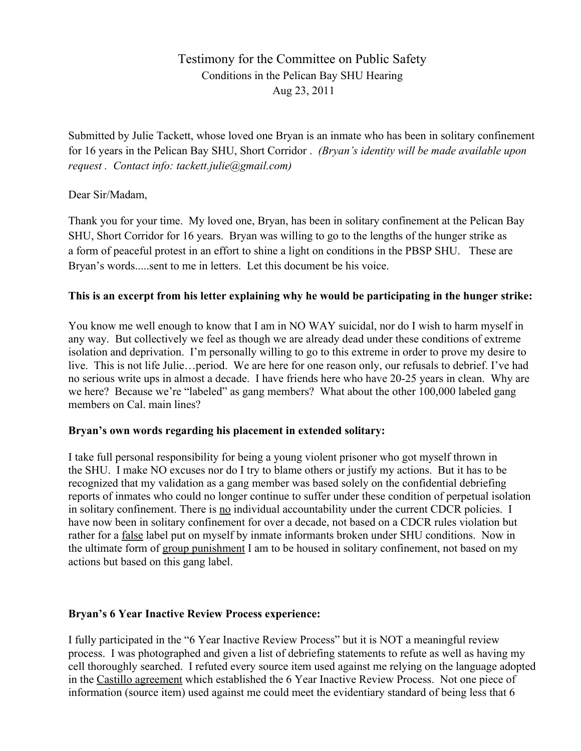# Testimony for the Committee on Public Safety Conditions in the Pelican Bay SHU Hearing Aug 23, 2011

Submitted by Julie Tackett, whose loved one Bryan is an inmate who has been in solitary confinement for 16 years in the Pelican Bay SHU, Short Corridor . *(Bryan's identity will be made available upon request . Contact info: tackett.julie@gmail.com)*

#### Dear Sir/Madam,

Thank you for your time. My loved one, Bryan, has been in solitary confinement at the Pelican Bay SHU, Short Corridor for 16 years. Bryan was willing to go to the lengths of the hunger strike as a form of peaceful protest in an effort to shine a light on conditions in the PBSP SHU. These are Bryan's words.....sent to me in letters. Let this document be his voice.

## **This is an excerpt from his letter explaining why he would be participating in the hunger strike:**

You know me well enough to know that I am in NO WAY suicidal, nor do I wish to harm myself in any way. But collectively we feel as though we are already dead under these conditions of extreme isolation and deprivation. I'm personally willing to go to this extreme in order to prove my desire to live. This is not life Julie…period. We are here for one reason only, our refusals to debrief. I've had no serious write ups in almost a decade. I have friends here who have 20-25 years in clean. Why are we here? Because we're "labeled" as gang members? What about the other 100,000 labeled gang members on Cal. main lines?

#### **Bryan's own words regarding his placement in extended solitary:**

I take full personal responsibility for being a young violent prisoner who got myself thrown in the SHU. I make NO excuses nor do I try to blame others or justify my actions. But it has to be recognized that my validation as a gang member was based solely on the confidential debriefing reports of inmates who could no longer continue to suffer under these condition of perpetual isolation in solitary confinement. There is no individual accountability under the current CDCR policies. I have now been in solitary confinement for over a decade, not based on a CDCR rules violation but rather for a false label put on myself by inmate informants broken under SHU conditions. Now in the ultimate form of group punishment I am to be housed in solitary confinement, not based on my actions but based on this gang label.

#### **Bryan's 6 Year Inactive Review Process experience:**

I fully participated in the "6 Year Inactive Review Process" but it is NOT a meaningful review process. I was photographed and given a list of debriefing statements to refute as well as having my cell thoroughly searched. I refuted every source item used against me relying on the language adopted in the Castillo agreement which established the 6 Year Inactive Review Process. Not one piece of information (source item) used against me could meet the evidentiary standard of being less that 6